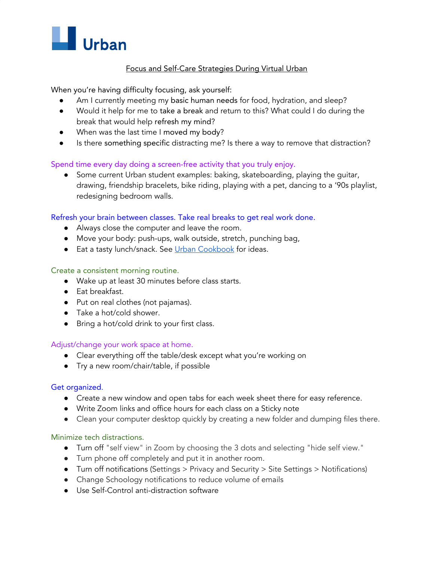

# Focus and Self-Care Strategies During Virtual Urban

When you're having difficulty focusing, ask yourself:

- Am I currently meeting my basic human needs for food, hydration, and sleep?
- Would it help for me to take a break and return to this? What could I do during the break that would help refresh my mind?
- When was the last time I moved my body?
- Is there something specific distracting me? Is there a way to remove that distraction?

# Spend time every day doing a screen-free activity that you truly enjoy.

**●** Some current Urban student examples: baking, skateboarding, playing the guitar, drawing, friendship bracelets, bike riding, playing with a pet, dancing to a '90s playlist, redesigning bedroom walls.

## Refresh your brain between classes. Take real breaks to get real work done.

- **●** Always close the computer and leave the room.
- Move your body: push-ups, walk outside, stretch, punching bag,
- Eat a tasty lunch/snack. See Urban [Cookbook](https://docs.google.com/presentation/d/1iU4TLiU5FbsQVo4fOftRb003pkQxgcHdo9isp5QkzzM/edit#slide=id.g8348ec5fe5_48_5) for ideas.

## Create a consistent morning routine.

- Wake up at least 30 minutes before class starts.
- Eat breakfast.
- Put on real clothes (not pajamas).
- Take a hot/cold shower.
- Bring a hot/cold drink to your first class.

## Adjust/change your work space at home.

- Clear everything off the table/desk except what you're working on
- Try a new room/chair/table, if possible

## Get organized.

- Create a new window and open tabs for each week sheet there for easy reference.
- Write Zoom links and office hours for each class on a Sticky note
- Clean your computer desktop quickly by creating a new folder and dumping files there.

## Minimize tech distractions.

- Turn off "self view" in Zoom by choosing the 3 dots and selecting "hide self view."
- Turn phone off completely and put it in another room.
- Turn off notifications (Settings > Privacy and Security > Site Settings > Notifications)
- Change Schoology notifications to reduce volume of emails
- Use Self-Control anti-distraction software